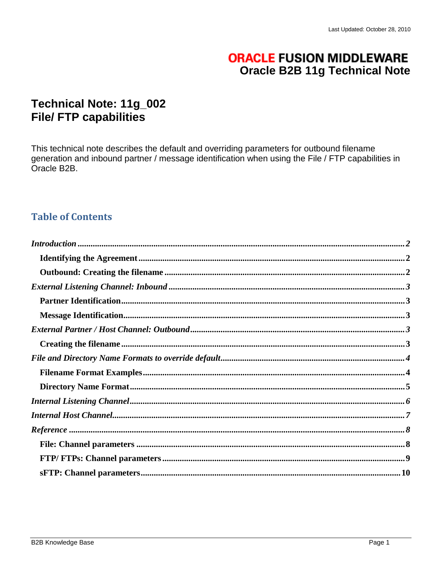# **ORACLE FUSION MIDDLEWARE Oracle B2B 11g Technical Note**

# Technical Note: 11g\_002 **File/ FTP capabilities**

This technical note describes the default and overriding parameters for outbound filename generation and inbound partner / message identification when using the File / FTP capabilities in Oracle B2B.

# **Table of Contents**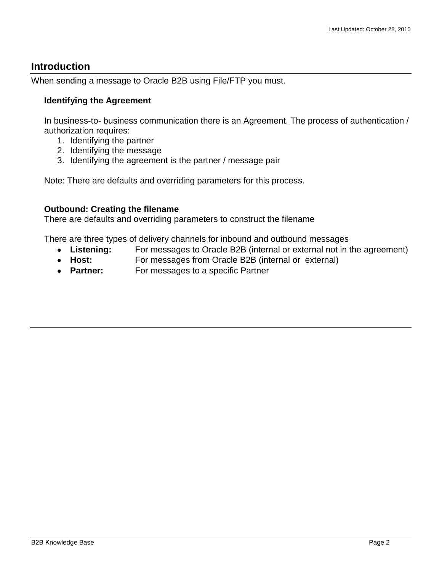## <span id="page-1-0"></span>**Introduction**

When sending a message to Oracle B2B using File/FTP you must.

## <span id="page-1-1"></span>**Identifying the Agreement**

In business-to- business communication there is an Agreement. The process of authentication / authorization requires:

- 1. Identifying the partner
- 2. Identifying the message
- 3. Identifying the agreement is the partner / message pair

Note: There are defaults and overriding parameters for this process.

## <span id="page-1-2"></span>**Outbound: Creating the filename**

There are defaults and overriding parameters to construct the filename

There are three types of delivery channels for inbound and outbound messages

- $\bullet$ **Listening:** For messages to Oracle B2B (internal or external not in the agreement)
- Host: For messages from Oracle B2B (internal or external)
- **Partner:** For messages to a specific Partner  $\bullet$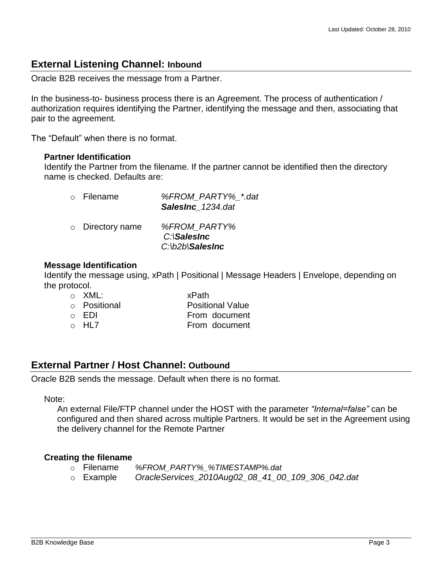## <span id="page-2-0"></span>**External Listening Channel: Inbound**

Oracle B2B receives the message from a Partner.

In the business-to- business process there is an Agreement. The process of authentication / authorization requires identifying the Partner, identifying the message and then, associating that pair to the agreement.

<span id="page-2-1"></span>The "Default" when there is no format.

#### **Partner Identification**

Identify the Partner from the filename. If the partner cannot be identified then the directory name is checked. Defaults are:

| $\circ$ Filename       | %FROM PARTY% *.dat<br>SalesInc 1234.dat           |
|------------------------|---------------------------------------------------|
| $\circ$ Directory name | %FROM PARTY%<br>C:\SalesInc<br>$C: V2b$ \SalesInc |

#### <span id="page-2-2"></span>**Message Identification**

Identify the message using, xPath | Positional | Message Headers | Envelope, depending on the protocol.

| ∴ XML:       | xPath                   |
|--------------|-------------------------|
| ○ Positional | <b>Positional Value</b> |
| ⊙ FDI        | From document           |
| o HL7        | From document           |

## <span id="page-2-3"></span>**External Partner / Host Channel: Outbound**

Oracle B2B sends the message. Default when there is no format.

#### Note:

An external File/FTP channel under the HOST with the parameter *"Internal=false"* can be configured and then shared across multiple Partners. It would be set in the Agreement using the delivery channel for the Remote Partner

### <span id="page-2-4"></span>**Creating the filename**

- o Filename *%FROM\_PARTY%\_%TIMESTAMP%.dat*
- o Example *OracleServices\_2010Aug02\_08\_41\_00\_109\_306\_042.dat*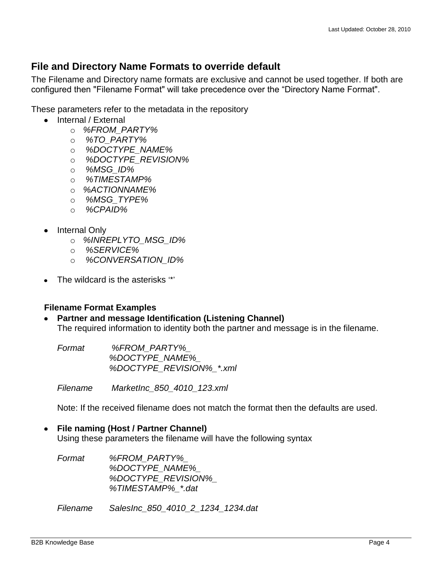## <span id="page-3-0"></span>**File and Directory Name Formats to override default**

The Filename and Directory name formats are exclusive and cannot be used together. If both are configured then "Filename Format" will take precedence over the "Directory Name Format".

These parameters refer to the metadata in the repository

- Internal / External
	- o *%FROM\_PARTY%*
	- o *%TO\_PARTY%*
	- o *%DOCTYPE\_NAME%*
	- o *%DOCTYPE\_REVISION%*
	- o *%MSG\_ID%*
	- o *%TIMESTAMP%*
	- o *%ACTIONNAME%*
	- o *%MSG\_TYPE%*
	- o *%CPAID%*
- Internal Only
	- o *%INREPLYTO\_MSG\_ID%*
	- o *%SERVICE%*
	- o *%CONVERSATION\_ID%*
- The wildcard is the asterisks "\*"

### <span id="page-3-1"></span>**Filename Format Examples**

### **Partner and message Identification (Listening Channel)**

The required information to identity both the partner and message is in the filename.

| Format | %FROM PARTY%             |
|--------|--------------------------|
|        | <i>%DOCTYPE NAME%</i>    |
|        | %DOCTYPE REVISION% *.xml |

*Filename MarketInc\_850\_4010\_123.xml*

Note: If the received filename does not match the format then the defaults are used.

#### **File naming (Host / Partner Channel)**

Using these parameters the filename will have the following syntax

| Format | %FROM PARTY%              |
|--------|---------------------------|
|        | <i>%DOCTYPE NAME%</i>     |
|        | <i>%DOCTYPE REVISION%</i> |
|        | %TIMESTAMP% *.dat         |
|        |                           |

*Filename SalesInc\_850\_4010\_2\_1234\_1234.dat*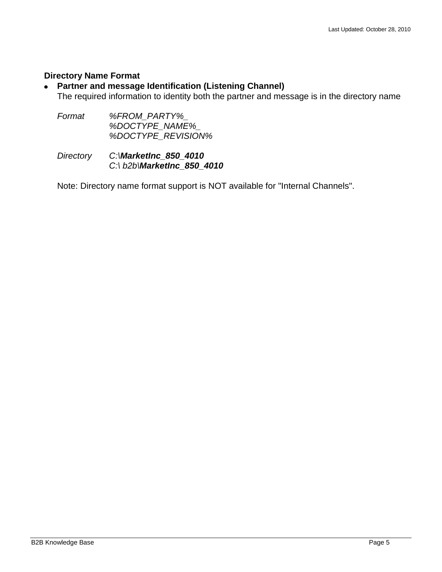#### <span id="page-4-0"></span>**Directory Name Format**

#### **Partner and message Identification (Listening Channel)**  $\bullet$

The required information to identity both the partner and message is in the directory name

*Format %FROM\_PARTY%\_ %DOCTYPE\_NAME%\_ %DOCTYPE\_REVISION%*

*Directory C:\MarketInc\_850\_4010 C:\ b2b\MarketInc\_850\_4010*

Note: Directory name format support is NOT available for "Internal Channels".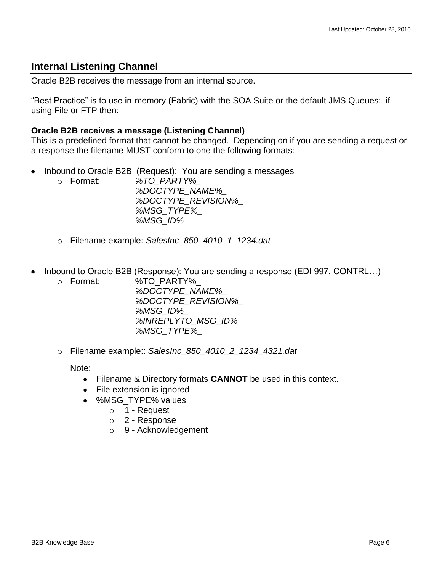## <span id="page-5-0"></span>**Internal Listening Channel**

Oracle B2B receives the message from an internal source.

"Best Practice" is to use in-memory (Fabric) with the SOA Suite or the default JMS Queues: if using File or FTP then:

#### **Oracle B2B receives a message (Listening Channel)**

This is a predefined format that cannot be changed. Depending on if you are sending a request or a response the filename MUST conform to one the following formats:

- Inbound to Oracle B2B (Request): You are sending a messages  $\bullet$ 
	- o Format: *%TO\_PARTY%\_ %DOCTYPE\_NAME%\_ %DOCTYPE\_REVISION%\_ %MSG\_TYPE%\_ %MSG\_ID%*
		- o Filename example: *SalesInc\_850\_4010\_1\_1234.dat*
- Inbound to Oracle B2B (Response): You are sending a response (EDI 997, CONTRL…)  $\bullet$ 
	- o Format: %TO\_PARTY%\_ *%DOCTYPE\_NAME%\_ %DOCTYPE\_REVISION%\_ %MSG\_ID%\_ %INREPLYTO\_MSG\_ID% %MSG\_TYPE%\_*
	- o Filename example:: *SalesInc\_850\_4010\_2\_1234\_4321.dat*

Note:

- Filename & Directory formats **CANNOT** be used in this context.
- File extension is ignored
- %MSG\_TYPE% values
	- o 1 Request
	- o 2 Response
	- o 9 Acknowledgement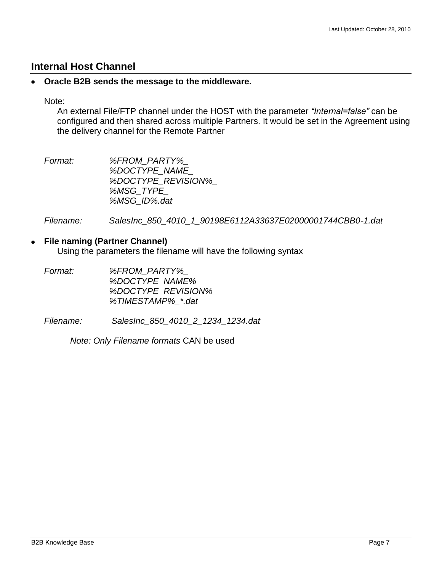## <span id="page-6-0"></span>**Internal Host Channel**

#### **Oracle B2B sends the message to the middleware.**  $\bullet$

Note:

An external File/FTP channel under the HOST with the parameter *"Internal=false"* can be configured and then shared across multiple Partners. It would be set in the Agreement using the delivery channel for the Remote Partner

*Format: %FROM\_PARTY%\_ %DOCTYPE\_NAME\_ %DOCTYPE\_REVISION%\_ %MSG\_TYPE\_ %MSG\_ID%.dat*

*Filename: SalesInc\_850\_4010\_1\_90198E6112A33637E02000001744CBB0-1.dat*

#### $\bullet$ **File naming (Partner Channel)**

Using the parameters the filename will have the following syntax

| %FROM PARTY%              |
|---------------------------|
| <i>%DOCTYPE NAME%</i>     |
| <i>%DOCTYPE REVISION%</i> |
| %TIMESTAMP% *.dat         |
|                           |

*Filename: SalesInc\_850\_4010\_2\_1234\_1234.dat*

*Note: Only Filename formats* CAN be used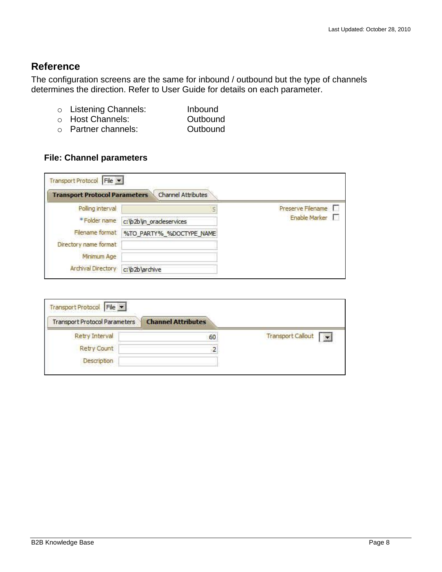## <span id="page-7-0"></span>**Reference**

The configuration screens are the same for inbound / outbound but the type of channels determines the direction. Refer to User Guide for details on each parameter.

- o Listening Channels: Inbound
- o Host Channels: Outbound
- o Partner channels: Outbound

### <span id="page-7-1"></span>**File: Channel parameters**

| Transport Protocol File<br><b>Transport Protocol Parameters</b> | <b>Channel Attributes</b> |                   |
|-----------------------------------------------------------------|---------------------------|-------------------|
| Polling interval                                                |                           | Preserve Filename |
| * Folder name                                                   | c: \b2b\in_oracleservices | Enable Marker     |
| Flename format                                                  | %TO_PARTY%_%DOCTYPE_NAME  |                   |
| Directory name format                                           |                           |                   |
| Minimum Age                                                     |                           |                   |
| Archival Directory                                              | c:\b2b\archive            |                   |

|                          | <b>Channel Attributes</b> | <b>Transport Protocol Parameters</b> |
|--------------------------|---------------------------|--------------------------------------|
| <b>Transport Callout</b> | 60                        | Retry Interval                       |
|                          |                           | Retry Count                          |
|                          |                           | Description                          |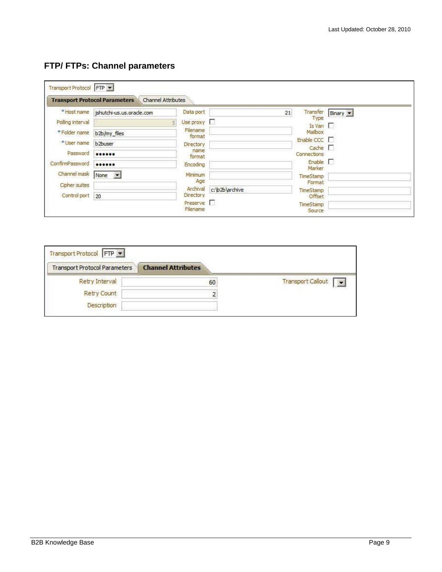# <span id="page-8-0"></span>**FTP/ FTPs: Channel parameters**

|                      | <b>Transport Protocol Parameters</b>  | Channel Attributes           |                |                               |          |
|----------------------|---------------------------------------|------------------------------|----------------|-------------------------------|----------|
|                      | * Host name jshutchi-us.us.oracle.com | Data port                    |                | Transfer<br>21                | Binary - |
| Polling interval     |                                       | Use proxy<br>$\overline{5}$  |                | Type<br>Is Van                |          |
| * Folder name        | b <sub>2b/my</sub> files              | Filename<br>format           |                | Mailbox                       |          |
| * User name          | b <sub>2buser</sub>                   | <b>Directory</b>             |                | Enable CCC $\Gamma$           |          |
| Password             |                                       | name.<br>format              |                | Cache $\Gamma$<br>Connections |          |
| ConfirmPassword      |                                       | Encoding                     |                | $Enable$ $\Box$               |          |
| Channel mask         | None -                                | Minimum                      |                | Marker<br>TimeStamp           |          |
| <b>Cipher suites</b> |                                       | Age                          |                | Format                        |          |
|                      |                                       | Archival<br><b>Directory</b> | c:\b2b\archive | TimeStamp                     |          |

| <b>Transport Protocol Parameters</b> | <b>Channel Attributes</b> |                   |
|--------------------------------------|---------------------------|-------------------|
| Retry Interval                       | 60                        | Transport Callout |
| Retry Count                          | 2                         |                   |
| <b>Description</b>                   |                           |                   |